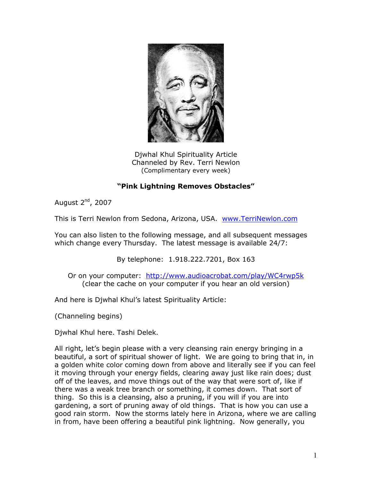

Djwhal Khul Spirituality Article Channeled by Rev. Terri Newlon (Complimentary every week)

## **"Pink Lightning Removes Obstacles"**

August 2<sup>nd</sup>, 2007

This is Terri Newlon from Sedona, Arizona, USA. [www.TerriNewlon.com](http://www.terrinewlon.com/)

You can also listen to the following message, and all subsequent messages which change every Thursday. The latest message is available 24/7:

By telephone: 1.918.222.7201, Box 163

Or on your computer: <http://www.audioacrobat.com/play/WC4rwp5k> (clear the cache on your computer if you hear an old version)

And here is Djwhal Khul's latest Spirituality Article:

(Channeling begins)

Djwhal Khul here. Tashi Delek.

All right, let's begin please with a very cleansing rain energy bringing in a beautiful, a sort of spiritual shower of light. We are going to bring that in, in a golden white color coming down from above and literally see if you can feel it moving through your energy fields, clearing away just like rain does; dust off of the leaves, and move things out of the way that were sort of, like if there was a weak tree branch or something, it comes down. That sort of thing. So this is a cleansing, also a pruning, if you will if you are into gardening, a sort of pruning away of old things. That is how you can use a good rain storm. Now the storms lately here in Arizona, where we are calling in from, have been offering a beautiful pink lightning. Now generally, you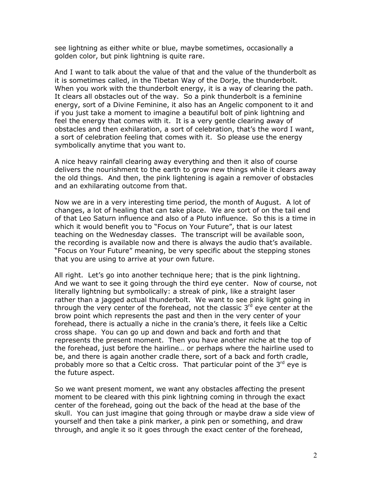see lightning as either white or blue, maybe sometimes, occasionally a golden color, but pink lightning is quite rare.

And I want to talk about the value of that and the value of the thunderbolt as it is sometimes called, in the Tibetan Way of the Dorje, the thunderbolt. When you work with the thunderbolt energy, it is a way of clearing the path. It clears all obstacles out of the way. So a pink thunderbolt is a feminine energy, sort of a Divine Feminine, it also has an Angelic component to it and if you just take a moment to imagine a beautiful bolt of pink lightning and feel the energy that comes with it. It is a very gentle clearing away of obstacles and then exhilaration, a sort of celebration, that's the word I want, a sort of celebration feeling that comes with it. So please use the energy symbolically anytime that you want to.

A nice heavy rainfall clearing away everything and then it also of course delivers the nourishment to the earth to grow new things while it clears away the old things. And then, the pink lightening is again a remover of obstacles and an exhilarating outcome from that.

Now we are in a very interesting time period, the month of August. A lot of changes, a lot of healing that can take place. We are sort of on the tail end of that Leo Saturn influence and also of a Pluto influence. So this is a time in which it would benefit you to "Focus on Your Future", that is our latest teaching on the Wednesday classes. The transcript will be available soon, the recording is available now and there is always the audio that's available. "Focus on Your Future" meaning, be very specific about the stepping stones that you are using to arrive at your own future.

All right. Let's go into another technique here; that is the pink lightning. And we want to see it going through the third eye center. Now of course, not literally lightning but symbolically: a streak of pink, like a straight laser rather than a jagged actual thunderbolt. We want to see pink light going in through the very center of the forehead, not the classic  $3<sup>rd</sup>$  eye center at the brow point which represents the past and then in the very center of your forehead, there is actually a niche in the crania's there, it feels like a Celtic cross shape. You can go up and down and back and forth and that represents the present moment. Then you have another niche at the top of the forehead, just before the hairline… or perhaps where the hairline used to be, and there is again another cradle there, sort of a back and forth cradle, probably more so that a Celtic cross. That particular point of the  $3^{rd}$  eve is the future aspect.

So we want present moment, we want any obstacles affecting the present moment to be cleared with this pink lightning coming in through the exact center of the forehead, going out the back of the head at the base of the skull. You can just imagine that going through or maybe draw a side view of yourself and then take a pink marker, a pink pen or something, and draw through, and angle it so it goes through the exact center of the forehead,